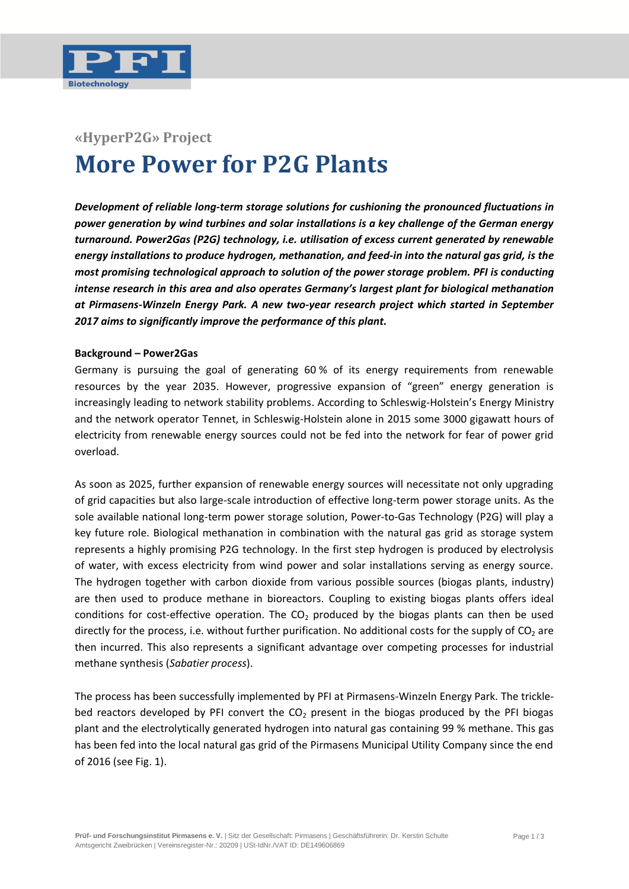

## **«HyperP2G» Project More Power for P2G Plants**

*Development of reliable long-term storage solutions for cushioning the pronounced fluctuations in power generation by wind turbines and solar installations is a key challenge of the German energy turnaround. Power2Gas (P2G) technology, i.e. utilisation of excess current generated by renewable energy installations to produce hydrogen, methanation, and feed-in into the natural gas grid, is the most promising technological approach to solution of the power storage problem. PFI is conducting intense research in this area and also operates Germany's largest plant for biological methanation at Pirmasens-Winzeln Energy Park. A new two-year research project which started in September 2017 aims to significantly improve the performance of this plant.* 

## **Background – Power2Gas**

Germany is pursuing the goal of generating 60 % of its energy requirements from renewable resources by the year 2035. However, progressive expansion of "green" energy generation is increasingly leading to network stability problems. According to Schleswig-Holstein's Energy Ministry and the network operator Tennet, in Schleswig-Holstein alone in 2015 some 3000 gigawatt hours of electricity from renewable energy sources could not be fed into the network for fear of power grid overload.

As soon as 2025, further expansion of renewable energy sources will necessitate not only upgrading of grid capacities but also large-scale introduction of effective long-term power storage units. As the sole available national long-term power storage solution, Power-to-Gas Technology (P2G) will play a key future role. Biological methanation in combination with the natural gas grid as storage system represents a highly promising P2G technology. In the first step hydrogen is produced by electrolysis of water, with excess electricity from wind power and solar installations serving as energy source. The hydrogen together with carbon dioxide from various possible sources (biogas plants, industry) are then used to produce methane in bioreactors. Coupling to existing biogas plants offers ideal conditions for cost-effective operation. The  $CO<sub>2</sub>$  produced by the biogas plants can then be used directly for the process, i.e. without further purification. No additional costs for the supply of CO<sub>2</sub> are then incurred. This also represents a significant advantage over competing processes for industrial methane synthesis (*Sabatier process*).

The process has been successfully implemented by PFI at Pirmasens-Winzeln Energy Park. The tricklebed reactors developed by PFI convert the  $CO<sub>2</sub>$  present in the biogas produced by the PFI biogas plant and the electrolytically generated hydrogen into natural gas containing 99 % methane. This gas has been fed into the local natural gas grid of the Pirmasens Municipal Utility Company since the end of 2016 (see Fig. 1).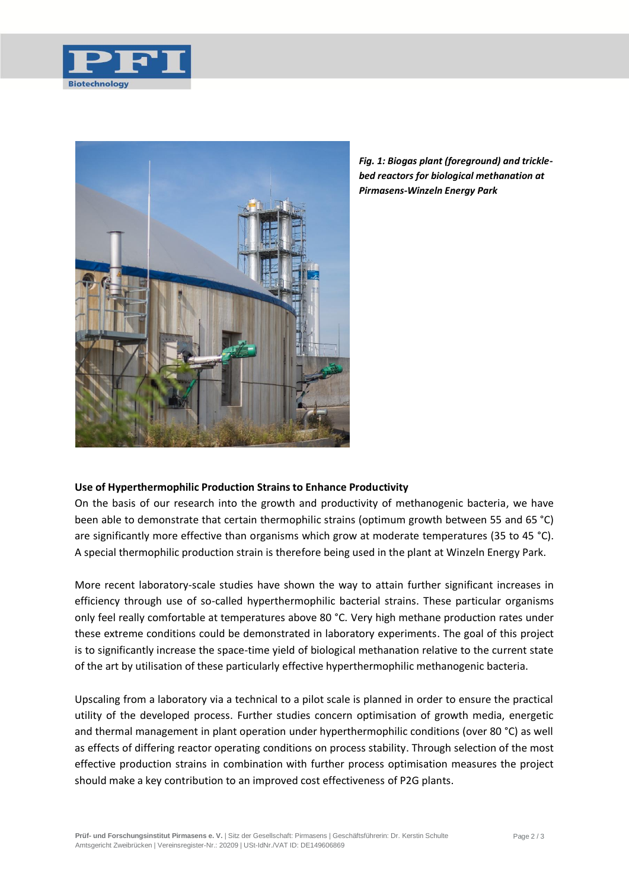



*Fig. 1: Biogas plant (foreground) and tricklebed reactors for biological methanation at Pirmasens-Winzeln Energy Park*

## **Use of Hyperthermophilic Production Strains to Enhance Productivity**

On the basis of our research into the growth and productivity of methanogenic bacteria, we have been able to demonstrate that certain thermophilic strains (optimum growth between 55 and 65 °C) are significantly more effective than organisms which grow at moderate temperatures (35 to 45 °C). A special thermophilic production strain is therefore being used in the plant at Winzeln Energy Park.

More recent laboratory-scale studies have shown the way to attain further significant increases in efficiency through use of so-called hyperthermophilic bacterial strains. These particular organisms only feel really comfortable at temperatures above 80 °C. Very high methane production rates under these extreme conditions could be demonstrated in laboratory experiments. The goal of this project is to significantly increase the space-time yield of biological methanation relative to the current state of the art by utilisation of these particularly effective hyperthermophilic methanogenic bacteria.

Upscaling from a laboratory via a technical to a pilot scale is planned in order to ensure the practical utility of the developed process. Further studies concern optimisation of growth media, energetic and thermal management in plant operation under hyperthermophilic conditions (over 80 °C) as well as effects of differing reactor operating conditions on process stability. Through selection of the most effective production strains in combination with further process optimisation measures the project should make a key contribution to an improved cost effectiveness of P2G plants.